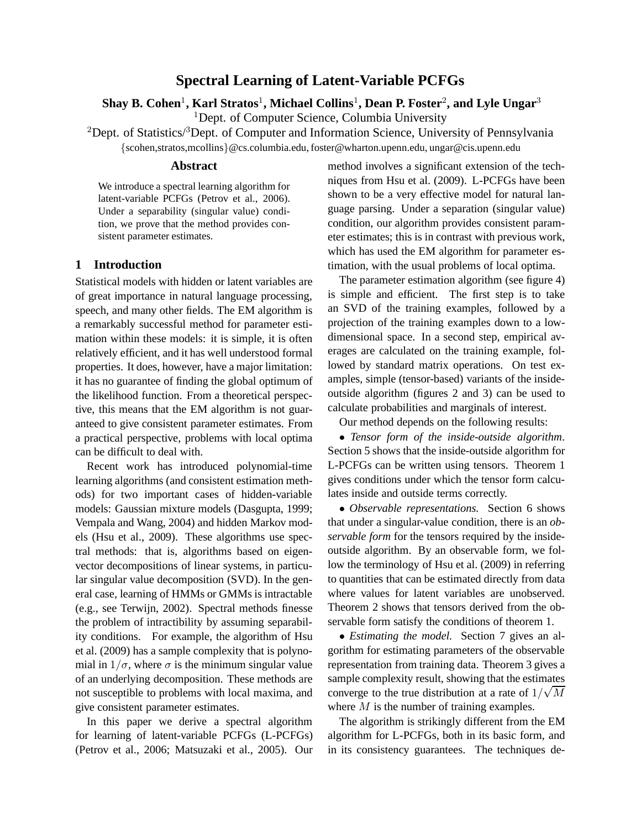# **Spectral Learning of Latent-Variable PCFGs**

 ${\bf Shay~B.~Cohen^1, Karl~Stratos^1, Michael~Collins^1, Dean~P.~Foster^2, and Lyle~Ungar^3}$ 

<sup>1</sup>Dept. of Computer Science, Columbia University

<sup>2</sup>Dept. of Statistics/ $3$ Dept. of Computer and Information Science, University of Pennsylvania

{scohen,stratos,mcollins}@cs.columbia.edu, foster@wharton.upenn.edu, ungar@cis.upenn.edu

### **Abstract**

We introduce a spectral learning algorithm for latent-variable PCFGs (Petrov et al., 2006). Under a separability (singular value) condition, we prove that the method provides consistent parameter estimates.

# **1 Introduction**

Statistical models with hidden or latent variables are of great importance in natural language processing, speech, and many other fields. The EM algorithm is a remarkably successful method for parameter estimation within these models: it is simple, it is often relatively efficient, and it has well understood formal properties. It does, however, have a major limitation: it has no guarantee of finding the global optimum of the likelihood function. From a theoretical perspective, this means that the EM algorithm is not guaranteed to give consistent parameter estimates. From a practical perspective, problems with local optima can be difficult to deal with.

Recent work has introduced polynomial-time learning algorithms (and consistent estimation methods) for two important cases of hidden-variable models: Gaussian mixture models (Dasgupta, 1999; Vempala and Wang, 2004) and hidden Markov models (Hsu et al., 2009). These algorithms use spectral methods: that is, algorithms based on eigenvector decompositions of linear systems, in particular singular value decomposition (SVD). In the general case, learning of HMMs or GMMs is intractable (e.g., see Terwijn, 2002). Spectral methods finesse the problem of intractibility by assuming separability conditions. For example, the algorithm of Hsu et al. (2009) has a sample complexity that is polynomial in  $1/\sigma$ , where  $\sigma$  is the minimum singular value of an underlying decomposition. These methods are not susceptible to problems with local maxima, and give consistent parameter estimates.

In this paper we derive a spectral algorithm for learning of latent-variable PCFGs (L-PCFGs) (Petrov et al., 2006; Matsuzaki et al., 2005). Our

method involves a significant extension of the techniques from Hsu et al. (2009). L-PCFGs have been shown to be a very effective model for natural language parsing. Under a separation (singular value) condition, our algorithm provides consistent parameter estimates; this is in contrast with previous work, which has used the EM algorithm for parameter estimation, with the usual problems of local optima.

The parameter estimation algorithm (see figure 4) is simple and efficient. The first step is to take an SVD of the training examples, followed by a projection of the training examples down to a lowdimensional space. In a second step, empirical averages are calculated on the training example, followed by standard matrix operations. On test examples, simple (tensor-based) variants of the insideoutside algorithm (figures 2 and 3) can be used to calculate probabilities and marginals of interest.

Our method depends on the following results:

• *Tensor form of the inside-outside algorithm*. Section 5 shows that the inside-outside algorithm for L-PCFGs can be written using tensors. Theorem 1 gives conditions under which the tensor form calculates inside and outside terms correctly.

• *Observable representations.* Section 6 shows that under a singular-value condition, there is an *observable form* for the tensors required by the insideoutside algorithm. By an observable form, we follow the terminology of Hsu et al. (2009) in referring to quantities that can be estimated directly from data where values for latent variables are unobserved. Theorem 2 shows that tensors derived from the observable form satisfy the conditions of theorem 1.

• *Estimating the model.* Section 7 gives an algorithm for estimating parameters of the observable representation from training data. Theorem 3 gives a sample complexity result, showing that the estimates converge to the true distribution at a rate of  $1/\sqrt{M}$ where  $M$  is the number of training examples.

The algorithm is strikingly different from the EM algorithm for L-PCFGs, both in its basic form, and in its consistency guarantees. The techniques de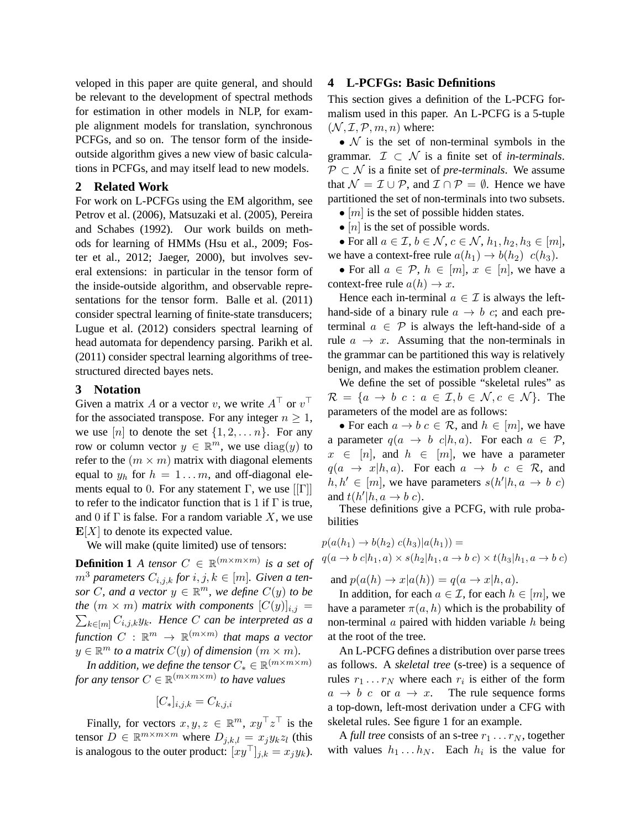veloped in this paper are quite general, and should be relevant to the development of spectral methods for estimation in other models in NLP, for example alignment models for translation, synchronous PCFGs, and so on. The tensor form of the insideoutside algorithm gives a new view of basic calculations in PCFGs, and may itself lead to new models.

### **2 Related Work**

For work on L-PCFGs using the EM algorithm, see Petrov et al. (2006), Matsuzaki et al. (2005), Pereira and Schabes (1992). Our work builds on methods for learning of HMMs (Hsu et al., 2009; Foster et al., 2012; Jaeger, 2000), but involves several extensions: in particular in the tensor form of the inside-outside algorithm, and observable representations for the tensor form. Balle et al. (2011) consider spectral learning of finite-state transducers; Lugue et al. (2012) considers spectral learning of head automata for dependency parsing. Parikh et al. (2011) consider spectral learning algorithms of treestructured directed bayes nets.

### **3 Notation**

Given a matrix A or a vector v, we write  $A^{\top}$  or  $v^{\top}$ for the associated transpose. For any integer  $n \geq 1$ , we use  $[n]$  to denote the set  $\{1, 2, \ldots n\}$ . For any row or column vector  $y \in \mathbb{R}^m$ , we use  $\text{diag}(y)$  to refer to the  $(m \times m)$  matrix with diagonal elements equal to  $y_h$  for  $h = 1...m$ , and off-diagonal elements equal to 0. For any statement  $\Gamma$ , we use  $\Gamma$ to refer to the indicator function that is 1 if  $\Gamma$  is true, and 0 if  $\Gamma$  is false. For a random variable X, we use  $\mathbf{E}[X]$  to denote its expected value.

We will make (quite limited) use of tensors:

**Definition 1** *A tensor*  $C \in \mathbb{R}^{(m \times m \times m)}$  *is a set of*  $m^3$  parameters  $C_{i,j,k}$  for  $i, j, k \in [m]$ . Given a ten*sor*  $C$ *, and a vector*  $y \in \mathbb{R}^m$ *, we define*  $C(y)$  *to be the*  $(m \times m)$  *matrix with components*  $[C(y)]_{i,j} =$  $\sum_{k\in [m]} C_{i,j,k} y_k$ . Hence C can be interpreted as a  $\mathit{function} \ C \ : \ \mathbb{R}^m \ \rightarrow \ \mathbb{R}^{(m \times m)}$  that maps a vector  $y \in \mathbb{R}^m$  to a matrix  $C(y)$  of dimension  $(m \times m)$ .

*In addition, we define the tensor*  $C_* \in \mathbb{R}^{(m \times m \times m)}$ *for any tensor*  $C \in \mathbb{R}^{(m \times m \times m)}$  *to have values* 

$$
[C_*]_{i,j,k} = C_{k,j,i}
$$

Finally, for vectors  $x, y, z \in \mathbb{R}^m$ ,  $xy^\top z^\top$  is the tensor  $D \in \mathbb{R}^{m \times m \times m}$  where  $D_{j,k,l} = x_j y_k z_l$  (this is analogous to the outer product:  $[xy^\top]_{i,k} = x_i y_k$ .

## **4 L-PCFGs: Basic Definitions**

This section gives a definition of the L-PCFG formalism used in this paper. An L-PCFG is a 5-tuple  $(N, \mathcal{I}, \mathcal{P}, m, n)$  where:

•  $N$  is the set of non-terminal symbols in the grammar.  $\mathcal{I} \subset \mathcal{N}$  is a finite set of *in-terminals*. P ⊂ N is a finite set of *pre-terminals*. We assume that  $\mathcal{N} = \mathcal{I} \cup \mathcal{P}$ , and  $\mathcal{I} \cap \mathcal{P} = \emptyset$ . Hence we have partitioned the set of non-terminals into two subsets.

•  $[m]$  is the set of possible hidden states.

•  $[n]$  is the set of possible words.

• For all  $a \in \mathcal{I}, b \in \mathcal{N}, c \in \mathcal{N}, h_1, h_2, h_3 \in [m],$ we have a context-free rule  $a(h_1) \rightarrow b(h_2)$   $c(h_3)$ .

• For all  $a \in \mathcal{P}, h \in [m], x \in [n]$ , we have a context-free rule  $a(h) \rightarrow x$ .

Hence each in-terminal  $a \in \mathcal{I}$  is always the lefthand-side of a binary rule  $a \rightarrow b$  c; and each preterminal  $a \in \mathcal{P}$  is always the left-hand-side of a rule  $a \rightarrow x$ . Assuming that the non-terminals in the grammar can be partitioned this way is relatively benign, and makes the estimation problem cleaner.

We define the set of possible "skeletal rules" as  $\mathcal{R} = \{a \rightarrow b \, c : a \in \mathcal{I}, b \in \mathcal{N}, c \in \mathcal{N}\}\.$  The parameters of the model are as follows:

• For each  $a \to b \, c \in \mathcal{R}$ , and  $h \in [m]$ , we have a parameter  $q(a \rightarrow b \, c|h, a)$ . For each  $a \in \mathcal{P}$ ,  $x \in [n]$ , and  $h \in [m]$ , we have a parameter  $q(a \rightarrow x|h, a)$ . For each  $a \rightarrow b \ c \in \mathcal{R}$ , and  $h, h' \in [m]$ , we have parameters  $s(h'|h, a \rightarrow b \ c)$ and  $t(h'|h, a \rightarrow b c)$ .

These definitions give a PCFG, with rule probabilities

$$
p(a(h_1) \to b(h_2) c(h_3) | a(h_1)) =
$$
  
 
$$
q(a \to b c | h_1, a) \times s(h_2 | h_1, a \to b c) \times t(h_3 | h_1, a \to b c)
$$
  
and 
$$
r(a(h) \to r | a(h)) = s(a \to r | h, c)
$$

and  $p(a(h) \rightarrow x|a(h)) = q(a \rightarrow x|h, a)$ . In addition, for each  $a \in \mathcal{I}$ , for each  $h \in [m]$ , we

have a parameter  $\pi(a, h)$  which is the probability of non-terminal  $a$  paired with hidden variable  $h$  being at the root of the tree.

An L-PCFG defines a distribution over parse trees as follows. A *skeletal tree* (s-tree) is a sequence of rules  $r_1 \dots r_N$  where each  $r_i$  is either of the form  $a \rightarrow b \, c \, \text{or} \, a \rightarrow x.$  The rule sequence forms a top-down, left-most derivation under a CFG with skeletal rules. See figure 1 for an example.

A *full tree* consists of an s-tree  $r_1 \ldots r_N$ , together with values  $h_1 \dots h_N$ . Each  $h_i$  is the value for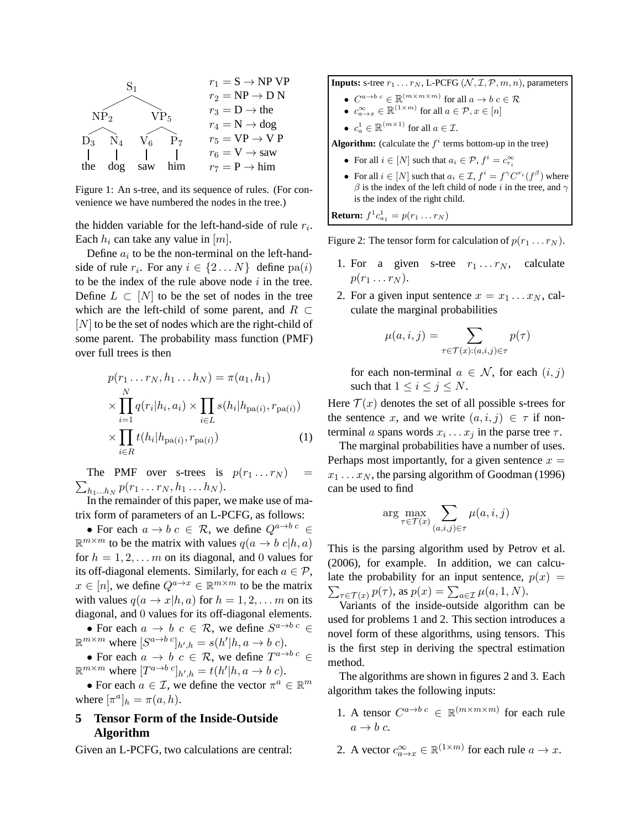

Figure 1: An s-tree, and its sequence of rules. (For convenience we have numbered the nodes in the tree.)

the hidden variable for the left-hand-side of rule  $r_i$ . Each  $h_i$  can take any value in  $[m]$ .

Define  $a_i$  to be the non-terminal on the left-handside of rule  $r_i$ . For any  $i \in \{2...N\}$  define  $pa(i)$ to be the index of the rule above node  $i$  in the tree. Define  $L \subset [N]$  to be the set of nodes in the tree which are the left-child of some parent, and  $R \subset$  $[N]$  to be the set of nodes which are the right-child of some parent. The probability mass function (PMF) over full trees is then

$$
p(r_1 \dots r_N, h_1 \dots h_N) = \pi(a_1, h_1)
$$
  
\n
$$
\times \prod_{i=1}^N q(r_i|h_i, a_i) \times \prod_{i \in L} s(h_i|h_{pa(i)}, r_{pa(i)})
$$
  
\n
$$
\times \prod_{i \in R} t(h_i|h_{pa(i)}, r_{pa(i)})
$$
 (1)

 $\sum_{h_1...h_N} p(r_1...r_N,h_1...h_N).$ The PMF over s-trees is  $p(r_1 \dots r_N)$ 

In the remainder of this paper, we make use of matrix form of parameters of an L-PCFG, as follows:

• For each  $a \to b \, c \in \mathcal{R}$ , we define  $Q^{a \to b \, c} \in$  $\mathbb{R}^{m \times m}$  to be the matrix with values  $q(a \to b \; c | h, a)$ for  $h = 1, 2, \dots m$  on its diagonal, and 0 values for its off-diagonal elements. Similarly, for each  $a \in \mathcal{P}$ ,  $x \in [n]$ , we define  $Q^{a \to x} \in \mathbb{R}^{m \times m}$  to be the matrix with values  $q(a \to x|h, a)$  for  $h = 1, 2, \ldots, m$  on its diagonal, and 0 values for its off-diagonal elements.

• For each  $a \to b \, c \in \mathcal{R}$ , we define  $S^{a \to b \, c} \in$  $\mathbb{R}^{m \times m}$  where  $[S^{a \to b} c]_{h',h} = s(h'|h, a \to b c)$ .

• For each  $a \to b \, c \in \mathcal{R}$ , we define  $T^{a \to b \, c} \in$  $\mathbb{R}^{m \times m}$  where  $[T^{a \to b} \,^c]_{h',h} = t(h'|h, a \to b \,^c).$ 

• For each  $a \in \mathcal{I}$ , we define the vector  $\pi^a \in \mathbb{R}^m$ where  $[\pi^a]_h = \pi(a, h)$ .

# **5 Tensor Form of the Inside-Outside Algorithm**

Given an L-PCFG, two calculations are central:

**Inputs:** s-tree  $r_1 \ldots r_N$ , L-PCFG  $(N, \mathcal{I}, \mathcal{P}, m, n)$ , parameters

- $C^{a \to b \ c} \in \mathbb{R}^{(m \times m \times m)}$  for all  $a \to b \ c \in \mathcal{R}$
- $c_{a \to x}^{\infty} \in \mathbb{R}^{(1 \times m)}$  for all  $a \in \mathcal{P}, x \in [n]$
- $c_a^1 \in \mathbb{R}^{(m \times 1)}$  for all  $a \in \mathcal{I}$ .

**Algorithm:** (calculate the  $f^i$  terms bottom-up in the tree)

- For all  $i \in [N]$  such that  $a_i \in \mathcal{P}$ ,  $f^i = c_{r_i}^{\infty}$
- For all  $i \in [N]$  such that  $a_i \in \mathcal{I}$ ,  $f^i = f^{\gamma} C^{r_i}(f^{\beta})$  where  $\beta$  is the index of the left child of node i in the tree, and  $\gamma$ is the index of the right child.

**Return:**  $f^1 c_{a_1}^1 = p(r_1 \dots r_N)$ 

Figure 2: The tensor form for calculation of  $p(r_1 \ldots r_N)$ .

- 1. For a given s-tree  $r_1 \ldots r_N$ , calculate  $p(r_1 \ldots r_N)$ .
- 2. For a given input sentence  $x = x_1 \dots x_N$ , calculate the marginal probabilities

$$
\mu(a, i, j) = \sum_{\tau \in \mathcal{T}(x): (a, i, j) \in \tau} p(\tau)
$$

for each non-terminal  $a \in \mathcal{N}$ , for each  $(i, j)$ such that  $1 \leq i \leq j \leq N$ .

Here  $\mathcal{T}(x)$  denotes the set of all possible s-trees for the sentence x, and we write  $(a, i, j) \in \tau$  if nonterminal a spans words  $x_i \dots x_j$  in the parse tree  $\tau$ .

The marginal probabilities have a number of uses. Perhaps most importantly, for a given sentence  $x =$  $x_1 \ldots x_N$ , the parsing algorithm of Goodman (1996) can be used to find

$$
\arg\max_{\tau \in \mathcal{T}(x)} \sum_{(a,i,j) \in \tau} \mu(a,i,j)
$$

This is the parsing algorithm used by Petrov et al. (2006), for example. In addition, we can calcu- $\sum_{\tau \in \mathcal{T}(x)} p(\tau)$ , as  $p(x) = \sum_{a \in \mathcal{I}} \mu(a, 1, N)$ . late the probability for an input sentence,  $p(x) =$ 

Variants of the inside-outside algorithm can be used for problems 1 and 2. This section introduces a novel form of these algorithms, using tensors. This is the first step in deriving the spectral estimation method.

The algorithms are shown in figures 2 and 3. Each algorithm takes the following inputs:

- 1. A tensor  $C^{a\to bc} \in \mathbb{R}^{(m \times m \times m)}$  for each rule  $a \rightarrow b c$ .
- 2. A vector  $c_{a\to x}^{\infty} \in \mathbb{R}^{(1 \times m)}$  for each rule  $a \to x$ .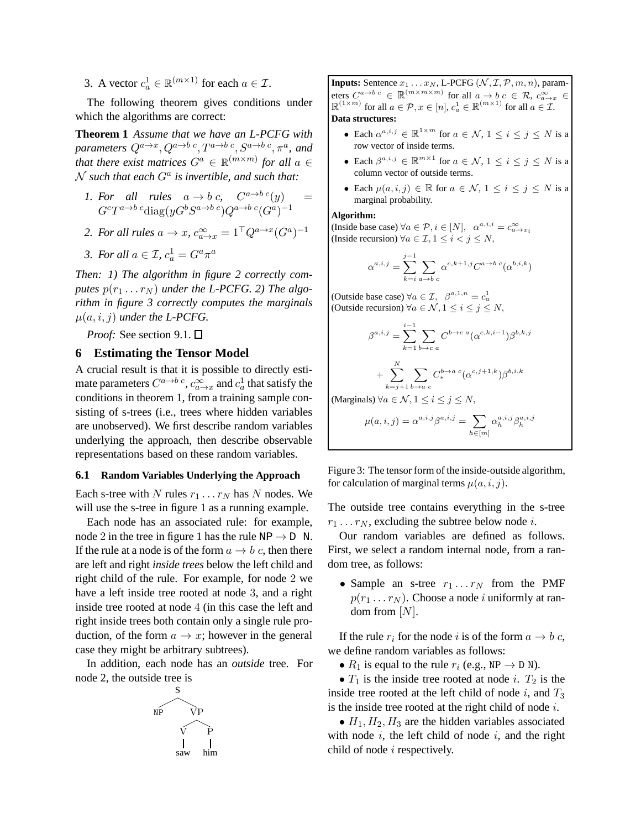3. A vector  $c_a^1 \in \mathbb{R}^{(m \times 1)}$  for each  $a \in \mathcal{I}$ .

The following theorem gives conditions under which the algorithms are correct:

**Theorem 1** *Assume that we have an L-PCFG with* parameters  $Q^{a\rightarrow x},Q^{a\rightarrow b\ c},T^{a\rightarrow b\ c},S^{a\rightarrow b\ c},\pi^a,$  and *that there exist matrices*  $G^a \in \mathbb{R}^{(m \times m)}$  *for all*  $a \in$  $\mathcal N$  such that each  $G^a$  is invertible, and such that:

*1. For all rules*  $a \rightarrow b c$ ,  $C^{a \rightarrow b c}(y)$  =  $G^cT^{a\rightarrow b}{}^c\text{diag}(yG^bS^{a\rightarrow b}{}^c)Q^{a\rightarrow b}{}^c(G^a)^{-1}$ 

2. For all rules 
$$
a \to x
$$
,  $c_{a \to x}^{\infty} = 1^{\top} Q^{a \to x} (G^a)^{-1}$ 

3. For all 
$$
a \in \mathcal{I}
$$
,  $c_a^1 = G^a \pi^a$ 

*Then: 1) The algorithm in figure 2 correctly com*putes  $p(r_1 \ldots r_N)$  *under the L-PCFG. 2) The algorithm in figure 3 correctly computes the marginals*  $\mu(a, i, j)$  *under the L-PCFG.* 

*Proof:* See section 9.1. □

# **6 Estimating the Tensor Model**

A crucial result is that it is possible to directly estimate parameters  $C^{a\rightarrow b\ c}, c_{a\rightarrow x}^{\infty}$  and  $c_a^1$  that satisfy the conditions in theorem 1, from a training sample consisting of s-trees (i.e., trees where hidden variables are unobserved). We first describe random variables underlying the approach, then describe observable representations based on these random variables.

### **6.1 Random Variables Underlying the Approach**

Each s-tree with N rules  $r_1 \ldots r_N$  has N nodes. We will use the s-tree in figure 1 as a running example.

Each node has an associated rule: for example, node 2 in the tree in figure 1 has the rule  $NP \rightarrow D$  N. If the rule at a node is of the form  $a \rightarrow b$  c, then there are left and right *inside trees* below the left child and right child of the rule. For example, for node 2 we have a left inside tree rooted at node 3, and a right inside tree rooted at node 4 (in this case the left and right inside trees both contain only a single rule production, of the form  $a \to x$ ; however in the general case they might be arbitrary subtrees).

In addition, each node has an *outside* tree. For node 2, the outside tree is



**Inputs:** Sentence  $x_1 \ldots x_N$ , L-PCFG  $(\mathcal{N}, \mathcal{I}, \mathcal{P}, m, n)$ , parameters  $C^{a \to b \ c} \in \mathbb{R}^{(m \times m \times m)}$  for all  $a \to b \ c \in \mathcal{R}$ ,  $c_{a \to x}^{\infty} \in \mathbb{R}^{(1 \times m)}$  for all  $a \in \mathcal{P}$ ,  $x \in [n]$ ,  $c_a^1 \in \mathbb{R}^{(m \times 1)}$  for all  $a \in \mathcal{I}$ . **Data structures:**

- Each  $\alpha^{a,i,j} \in \mathbb{R}^{1 \times m}$  for  $a \in \mathcal{N}$ ,  $1 \leq i \leq j \leq N$  is a row vector of inside terms.
- Each  $\beta^{a,i,j} \in \mathbb{R}^{m \times 1}$  for  $a \in \mathcal{N}$ ,  $1 \leq i \leq j \leq N$  is a column vector of outside terms.
- Each  $\mu(a, i, j) \in \mathbb{R}$  for  $a \in \mathcal{N}$ ,  $1 \leq i \leq j \leq N$  is a marginal probability.

#### **Algorithm:**

(Inside base case)  $\forall a \in \mathcal{P}, i \in [N], \ \alpha^{a,i,i} = c_{a \to x_i}^{\infty}$ (Inside recursion)  $\forall a \in \mathcal{I}, 1 \leq i < j \leq N$ ,

$$
\alpha^{a,i,j} = \sum_{k=i}^{j-1} \sum_{a \to b} \alpha^{c,k+1,j} C^{a \to b}{}^c(\alpha^{b,i,k})
$$

(Outside base case)  $\forall a \in \mathcal{I}, \ \beta^{a,1,n} = c_a^1$ <br>(Outside recursion)  $\forall a \in \mathcal{N}, 1 \le i \le j \le N$ ,

$$
\beta^{a,i,j} = \sum_{k=1}^{i-1} \sum_{b \to c} C^{b \to c} {^a} (\alpha^{c,k,i-1}) \beta^{b,k,j}
$$

 $+\sum_{1}^{N}$  $k=j+1$  $\sum$  $b \rightarrow a \ c$  $C^{b\to a\;c}_*(\alpha^{c,j+1,k})\beta$  $_{b,i,k}$ 

(Marginals)  $\forall a \in \mathcal{N}, 1 \leq i \leq j \leq N$ ,

$$
\mu(a,i,j) = \alpha^{a,i,j} \beta^{a,i,j} = \sum_{h \in [m]} \alpha_h^{a,i,j} \beta_h^{a,i,j}
$$

Figure 3: The tensor form of the inside-outside algorithm, for calculation of marginal terms  $\mu(a, i, j)$ .

The outside tree contains everything in the s-tree  $r_1 \ldots r_N$ , excluding the subtree below node *i*.

Our random variables are defined as follows. First, we select a random internal node, from a random tree, as follows:

• Sample an s-tree  $r_1 \ldots r_N$  from the PMF  $p(r_1 \ldots r_N)$ . Choose a node *i* uniformly at random from  $[N]$ .

If the rule  $r_i$  for the node i is of the form  $a \rightarrow b$  c, we define random variables as follows:

•  $R_1$  is equal to the rule  $r_i$  (e.g., NP  $\rightarrow$  D N).

•  $T_1$  is the inside tree rooted at node *i*.  $T_2$  is the inside tree rooted at the left child of node i, and  $T_3$ is the inside tree rooted at the right child of node  $i$ .

•  $H_1, H_2, H_3$  are the hidden variables associated with node  $i$ , the left child of node  $i$ , and the right child of node i respectively.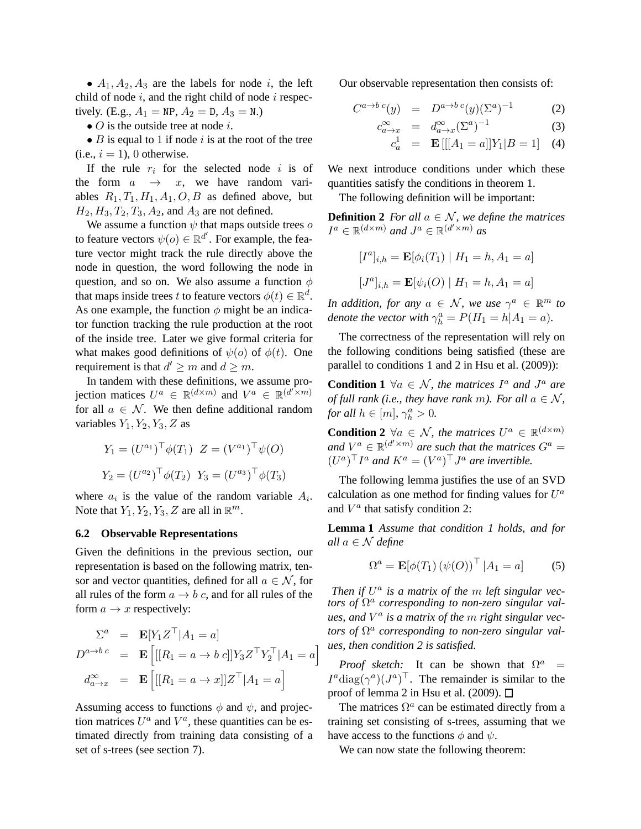•  $A_1, A_2, A_3$  are the labels for node *i*, the left child of node  $i$ , and the right child of node  $i$  respectively. (E.g.,  $A_1 = NP$ ,  $A_2 = D$ ,  $A_3 = N$ .)

•  $O$  is the outside tree at node  $i$ .

•  $B$  is equal to 1 if node i is at the root of the tree  $(i.e., i = 1)$ , 0 otherwise.

If the rule  $r_i$  for the selected node i is of the form  $a \rightarrow x$ , we have random variables  $R_1, T_1, H_1, A_1, O, B$  as defined above, but  $H_2, H_3, T_2, T_3, A_2$ , and  $A_3$  are not defined.

We assume a function  $\psi$  that maps outside trees  $\sigma$ to feature vectors  $\psi(o) \in \mathbb{R}^{d'}$ . For example, the feature vector might track the rule directly above the node in question, the word following the node in question, and so on. We also assume a function  $\phi$ that maps inside trees t to feature vectors  $\phi(t) \in \mathbb{R}^d$ . As one example, the function  $\phi$  might be an indicator function tracking the rule production at the root of the inside tree. Later we give formal criteria for what makes good definitions of  $\psi(o)$  of  $\phi(t)$ . One requirement is that  $d' \geq m$  and  $d \geq m$ .

In tandem with these definitions, we assume projection matices  $U^a \in \mathbb{R}^{(d \times m)}$  and  $V^a \in \mathbb{R}^{(d' \times m)}$ for all  $a \in \mathcal{N}$ . We then define additional random variables  $Y_1, Y_2, Y_3, Z$  as

$$
Y_1 = (U^{a_1})^\top \phi(T_1) \ Z = (V^{a_1})^\top \psi(O)
$$
  

$$
Y_2 = (U^{a_2})^\top \phi(T_2) \ Y_3 = (U^{a_3})^\top \phi(T_3)
$$

where  $a_i$  is the value of the random variable  $A_i$ . Note that  $Y_1, Y_2, Y_3, Z$  are all in  $\mathbb{R}^m$ .

### **6.2 Observable Representations**

Given the definitions in the previous section, our representation is based on the following matrix, tensor and vector quantities, defined for all  $a \in \mathcal{N}$ , for all rules of the form  $a \rightarrow b$  c, and for all rules of the form  $a \rightarrow x$  respectively:

$$
\Sigma^{a} = \mathbf{E}[Y_{1}Z^{\top}|A_{1} = a]
$$
  
\n
$$
D^{a \to b \ c} = \mathbf{E}\left[[[R_{1} = a \to b \ c]]Y_{3}Z^{\top}Y_{2}^{\top}|A_{1} = a\right]
$$
  
\n
$$
d_{a \to x}^{\infty} = \mathbf{E}\left[[[R_{1} = a \to x]]Z^{\top}|A_{1} = a\right]
$$

i

Assuming access to functions  $\phi$  and  $\psi$ , and projection matrices  $U^a$  and  $V^a$ , these quantities can be estimated directly from training data consisting of a set of s-trees (see section 7).

Our observable representation then consists of:

$$
C^{a \to b \ c}(y) = D^{a \to b \ c}(y) (\Sigma^a)^{-1} \tag{2}
$$

$$
c_{a \to x}^{\infty} = d_{a \to x}^{\infty} (\Sigma^a)^{-1}
$$
 (3)

$$
c_a^1 = \mathbf{E}\left[ [[A_1 = a]]Y_1 | B = 1] \quad (4)
$$

We next introduce conditions under which these quantities satisfy the conditions in theorem 1.

The following definition will be important:

**Definition 2** *For all*  $a \in \mathcal{N}$ *, we define the matrices*  $I^a \in \mathbb{R}^{(d \times m)}$  and  $J^a \in \mathbb{R}^{(d' \times m)}$  as

$$
[Ia]_{i,h} = \mathbf{E}[\phi_i(T_1) | H_1 = h, A_1 = a]
$$
  

$$
[Ja]_{i,h} = \mathbf{E}[\psi_i(O) | H_1 = h, A_1 = a]
$$

*In addition, for any*  $a \in \mathcal{N}$ *, we use*  $\gamma^a \in \mathbb{R}^m$  *to denote the vector with*  $\gamma_h^a = P(H_1 = h | A_1 = a)$ *.* 

The correctness of the representation will rely on the following conditions being satisfied (these are parallel to conditions 1 and 2 in Hsu et al. (2009)):

**Condition 1**  $\forall a \in \mathcal{N}$ , the matrices  $I^a$  and  $J^a$  are *of full rank (i.e., they have rank m). For all*  $a \in \mathcal{N}$ *, for all*  $h \in [m], \gamma_h^a > 0$ .

**Condition 2**  $\forall a \in \mathcal{N}$ , the matrices  $U^a \in \mathbb{R}^{(d \times m)}$ and  $V^a \in \mathbb{R}^{(d' \times m)}$  are such that the matrices  $G^a =$  $(U^a)^\top I^a$  and  $K^a = (V^a)^\top J^a$  are invertible.

The following lemma justifies the use of an SVD calculation as one method for finding values for  $U^a$ and  $V^a$  that satisfy condition 2:

**Lemma 1** *Assume that condition 1 holds, and for all*  $a \in \mathcal{N}$  *define* 

$$
\Omega^a = \mathbf{E}[\phi(T_1) (\psi(O))^\top | A_1 = a] \tag{5}
$$

*Then if*  $U^a$  *is a matrix of the m left singular vectors of* Ω a *corresponding to non-zero singular values, and* V a *is a matrix of the* m *right singular vectors of*  $\Omega^a$  corresponding to non-zero singular val*ues, then condition 2 is satisfied.*

*Proof sketch*: It can be shown that  $\Omega^a$  =  $I^a \text{diag}(\gamma^a) (J^a)^\top$ . The remainder is similar to the proof of lemma 2 in Hsu et al. (2009).  $\Box$ 

The matrices  $\Omega^a$  can be estimated directly from a training set consisting of s-trees, assuming that we have access to the functions  $\phi$  and  $\psi$ .

We can now state the following theorem: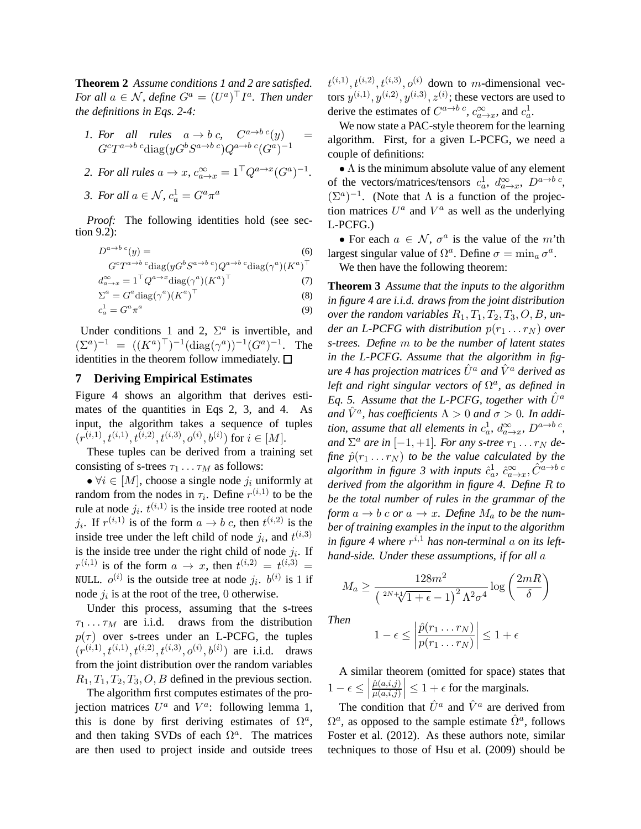**Theorem 2** *Assume conditions 1 and 2 are satisfied. For all*  $a \in \mathcal{N}$ *, define*  $G^a = (U^a)^{\top} I^a$ *. Then under the definitions in Eqs. 2-4:*

1. For all rules 
$$
a \to b c
$$
,  $C^{a \to b c}(y)$  =  $G^cT^{a \to b c} \text{diag}(yG^bS^{a \to b c})Q^{a \to b c}(G^a)^{-1}$ 

2. For all rules 
$$
a \to x
$$
,  $c_{a \to x}^{\infty} = 1^{\top} Q^{a \to x} (G^a)^{-1}$ .

*3. For all*  $a \in \mathcal{N}$ ,  $c_a^1 = G^a \pi^a$ 

*Proof:* The following identities hold (see section 9.2):

$$
D^{a \to b \ c}(y) = \tag{6}
$$

$$
G^c T^{a \to b \ c} \text{diag}(y G^b S^{a \to b \ c}) Q^{a \to b \ c} \text{diag}(\gamma^a) (K^a)^\top
$$

$$
d_{a \to x}^{\infty} = 1^{\top} Q^{a \to x} \text{diag}(\gamma^a) (K^a)^{\top}
$$
 (7)

$$
\Sigma^a = G^a \text{diag}(\gamma^a) (K^a)^\top \tag{8}
$$

$$
c_a^1 = G^a \pi^a \tag{9}
$$

Under conditions 1 and 2,  $\Sigma^a$  is invertible, and  $(\Sigma^a)^{-1} = ((K^a)^{\top})^{-1}(\text{diag}(\gamma^a))^{-1}(G^a)^{-1}$ . The identities in the theorem follow immediately.  $\square$ 

# **7 Deriving Empirical Estimates**

Figure 4 shows an algorithm that derives estimates of the quantities in Eqs 2, 3, and 4. As input, the algorithm takes a sequence of tuples  $(r^{(i,1)}, t^{(i,1)}, t^{(i,2)}, t^{(i,3)}, o^{(i)}, b^{(i)})$  for  $i \in [M]$ .

These tuples can be derived from a training set consisting of s-trees  $\tau_1 \dots \tau_M$  as follows:

•  $\forall i \in [M]$ , choose a single node  $j_i$  uniformly at random from the nodes in  $\tau_i$ . Define  $r^{(i,1)}$  to be the rule at node  $j_i$ .  $t^{(i,1)}$  is the inside tree rooted at node  $j_i$ . If  $r^{(i,1)}$  is of the form  $a \to b$  c, then  $t^{(i,2)}$  is the inside tree under the left child of node  $j_i$ , and  $t^{(i,3)}$ is the inside tree under the right child of node  $j_i$ . If  $r^{(i,1)}$  is of the form  $a \rightarrow x$ , then  $t^{(i,2)} = t^{(i,3)} =$ NULL.  $o^{(i)}$  is the outside tree at node  $j_i$ .  $b^{(i)}$  is 1 if node  $j_i$  is at the root of the tree, 0 otherwise.

Under this process, assuming that the s-trees  $\tau_1 \ldots \tau_M$  are i.i.d. draws from the distribution  $p(\tau)$  over s-trees under an L-PCFG, the tuples  $(r^{(i,1)}, t^{(i,1)}, t^{(i,2)}, t^{(i,3)}, o^{(i)}, b^{(i)})$  are i.i.d. draws from the joint distribution over the random variables  $R_1, T_1, T_2, T_3, O, B$  defined in the previous section.

The algorithm first computes estimates of the projection matrices  $U^a$  and  $V^a$ : following lemma 1, this is done by first deriving estimates of  $\Omega^a$ , and then taking SVDs of each  $\Omega^a$ . The matrices are then used to project inside and outside trees  $t^{(i,1)}, t^{(i,2)}, t^{(i,3)}, o^{(i)}$  down to m-dimensional vectors  $y^{(i,1)}, y^{(i,2)}, y^{(i,3)}, z^{(i)}$ ; these vectors are used to derive the estimates of  $C^{a\to b c}$ ,  $c_{a\to x}^{\infty}$ , and  $c_a^1$ .

We now state a PAC-style theorem for the learning algorithm. First, for a given L-PCFG, we need a couple of definitions:

 $\bullet$   $\Lambda$  is the minimum absolute value of any element of the vectors/matrices/tensors  $c_a^1$ ,  $d_{a\rightarrow x}^{\infty}$ ,  $D^{a\rightarrow b}c$ ,  $(\Sigma^a)^{-1}$ . (Note that  $\Lambda$  is a function of the projection matrices  $U^a$  and  $V^a$  as well as the underlying L-PCFG.)

• For each  $a \in \mathcal{N}$ ,  $\sigma^a$  is the value of the m'th largest singular value of  $\Omega^a$ . Define  $\sigma = \min_a \sigma^a$ .

We then have the following theorem:

**Theorem 3** *Assume that the inputs to the algorithm in figure 4 are i.i.d. draws from the joint distribution over the random variables*  $R_1, T_1, T_2, T_3, O, B$ , un*der an L-PCFG with distribution*  $p(r_1 \ldots r_N)$  *over s-trees. Define* m *to be the number of latent states in the L-PCFG. Assume that the algorithm in figure 4 has projection matrices*  $\hat{U}^a$  *and*  $\hat{V}^a$  *derived as left and right singular vectors of*  $\Omega^a$ *, as defined in Eq. 5.* Assume that the L-PCFG, together with  $U^a$ and  $\hat{V}^a$ , has coefficients  $\Lambda > 0$  and  $\sigma > 0$ . In addi*tion, assume that all elements in*  $c_a^1$ ,  $d_{a\rightarrow x}^{\infty}$ ,  $D^{a\rightarrow b}$ <sup>c</sup>, and  $\Sigma^a$  are in  $[-1, +1]$ *. For any s-tree*  $r_1 \ldots r_N$  de*fine*  $\hat{p}(r_1 \ldots r_N)$  *to be the value calculated by the* algorithm in figure 3 with inputs  $\hat{c}^1_a$ ,  $\hat{c}^{\infty}_{a \to x}$ ,  $\hat{C}^{a \to b}$  c *derived from the algorithm in figure 4. Define* R *to be the total number of rules in the grammar of the form*  $a \rightarrow b$  *c or*  $a \rightarrow x$ *. Define*  $M_a$  *to be the number of training examples in the input to the algorithm* in figure 4 where  $r^{i,1}$  has non-terminal  $a$  on its left*hand-side. Under these assumptions, if for all* a

$$
M_a \ge \frac{128m^2}{\left(\sqrt[2N+1]{1+\epsilon}-1\right)^2 \Lambda^2 \sigma^4} \log\left(\frac{2mR}{\delta}\right)
$$

*Then*

$$
1 - \epsilon \le \left| \frac{\hat{p}(r_1 \dots r_N)}{p(r_1 \dots r_N)} \right| \le 1 + \epsilon
$$

A similar theorem (omitted for space) states that  $1 - \epsilon \leq$  $\hat{\mu}(a,i,j)$  $\left|\frac{\hat{\mu}(a,i,j)}{\mu(a,i,j)}\right| \leq 1 + \epsilon$  for the marginals.

The condition that  $\hat{U}^a$  and  $\hat{V}^a$  are derived from  $\Omega^a$ , as opposed to the sample estimate  $\hat{\Omega}^a$ , follows Foster et al. (2012). As these authors note, similar techniques to those of Hsu et al. (2009) should be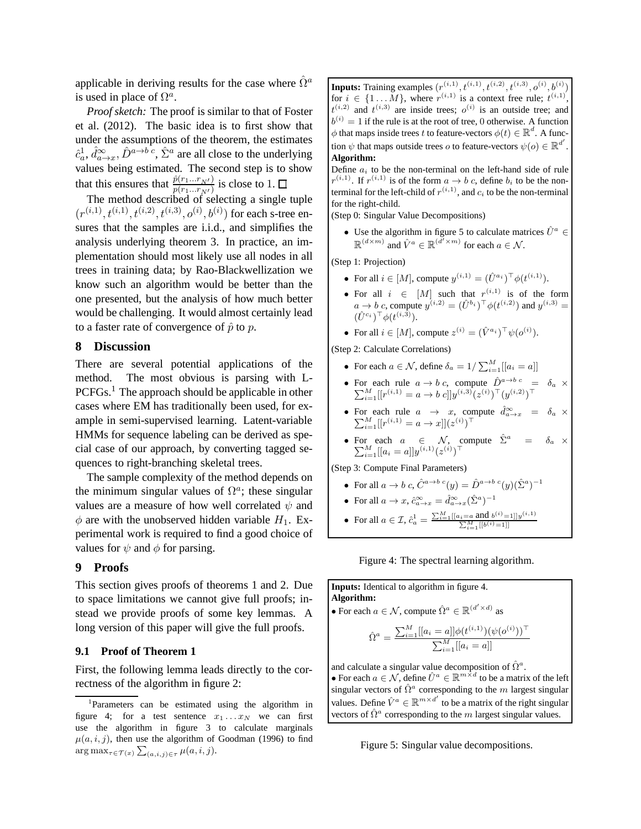applicable in deriving results for the case where  $\hat{\Omega}^a$ is used in place of  $\Omega^a$ .

*Proof sketch:* The proof is similar to that of Foster et al. (2012). The basic idea is to first show that under the assumptions of the theorem, the estimates  $\hat{c}_a^1$ ,  $\hat{d}_{a\to x}^{\infty}$ ,  $\hat{D}^{a\to b\ c}$ ,  $\hat{\Sigma}^a$  are all close to the underlying values being estimated. The second step is to show that this ensures that  $\frac{\hat{p}(r_1...r_{N'})}{p(r_1...r_{N'})}$  is close to 1.

The method described of selecting a single tuple  $(r^{(i,1)}, t^{(i,1)}, t^{(i,2)}, t^{(i,3)}, o^{(i)}, b^{(i)})$  for each s-tree ensures that the samples are i.i.d., and simplifies the analysis underlying theorem 3. In practice, an implementation should most likely use all nodes in all trees in training data; by Rao-Blackwellization we know such an algorithm would be better than the one presented, but the analysis of how much better would be challenging. It would almost certainly lead to a faster rate of convergence of  $\hat{p}$  to p.

# **8 Discussion**

There are several potential applications of the method. The most obvious is parsing with L-PCFGs.<sup>1</sup> The approach should be applicable in other cases where EM has traditionally been used, for example in semi-supervised learning. Latent-variable HMMs for sequence labeling can be derived as special case of our approach, by converting tagged sequences to right-branching skeletal trees.

The sample complexity of the method depends on the minimum singular values of  $\Omega^a$ ; these singular values are a measure of how well correlated  $\psi$  and  $\phi$  are with the unobserved hidden variable  $H_1$ . Experimental work is required to find a good choice of values for  $\psi$  and  $\phi$  for parsing.

### **9 Proofs**

This section gives proofs of theorems 1 and 2. Due to space limitations we cannot give full proofs; instead we provide proofs of some key lemmas. A long version of this paper will give the full proofs.

### **9.1 Proof of Theorem 1**

First, the following lemma leads directly to the correctness of the algorithm in figure 2:

**Inputs:** Training examples  $(r^{(i,1)}, t^{(i,1)}, t^{(i,2)}, t^{(i,3)}, o^{(i)}, b^{(i)})$ for  $i \in \{1 \dots M\}$ , where  $r^{(i,1)}$  is a context free rule;  $t^{(i,1)}$ ,  $t^{(i,2)}$  and  $t^{(i,3)}$  are inside trees;  $o^{(i)}$  is an outside tree; and  $b^{(i)} = 1$  if the rule is at the root of tree, 0 otherwise. A function  $\phi$  that maps inside trees t to feature-vectors  $\phi(t) \in \mathbb{R}^d$ . A function  $\psi$  that maps outside trees *o* to feature-vectors  $\psi(o) \in \mathbb{R}^{d'}$ . **Algorithm:**

Define  $a_i$  to be the non-terminal on the left-hand side of rule  $r^{(i,1)}$ . If  $r^{(i,1)}$  is of the form  $a \to b$  c, define  $b_i$  to be the nonterminal for the left-child of  $r^{(i,1)}$ , and  $c_i$  to be the non-terminal for the right-child.

(Step 0: Singular Value Decompositions)

• Use the algorithm in figure 5 to calculate matrices  $\hat{U}^a \in$  $\mathbb{R}^{(d \times m)}$  and  $\hat{V}^a \in \mathbb{R}^{(\hat{d}' \times m)}$  for each  $a \in \mathcal{N}$ .

(Step 1: Projection)

- For all  $i \in [M]$ , compute  $y^{(i,1)} = (\hat{U}^{a_i})^{\top} \phi(t^{(i,1)})$ .
- For all  $i \in [M]$  such that  $r^{(i,1)}$  is of the form  $a \to b$  c, compute  $y^{(i,2)} = (\hat{U}^{b_i})^{\top} \phi(t^{(i,2)})$  and  $y^{(i,3)} =$  $(\hat{U}^{c_i})^{\top} \phi(t^{(i, \tilde{3})}).$
- For all  $i \in [M]$ , compute  $z^{(i)} = (\hat{V}^{a_i})^\top \psi(o^{(i)})$ .

(Step 2: Calculate Correlations)

- For each  $a \in \mathcal{N}$ , define  $\delta_a = 1/\sum_{i=1}^M [[a_i = a]]$
- For each rule  $a \to b$  c, compute  $\hat{D}^{a \to b}{}^c = \delta_a \times \sum_{i=1}^M [[r^{(i,1)} = a \to b \ c]] y^{(i,3)} (z^{(i)})^\top (y^{(i,2)})^\top$
- For each rule  $a \to x$ , compute  $\hat{d}_{a \to x}^{\infty} = \delta_a \times \sum_{i=1}^{M} [[r^{(i,1)} = a \to x]](z^{(i)})^{\top}$
- For each  $a \in \mathcal{N}$ , compute  $\hat{\Sigma}^a = \delta_a \times \sum_{i=1}^M [[a_i = a]] y^{(i,1)} (z^{(i)})^\top$

(Step 3: Compute Final Parameters)

• For all  $a \to b$  c,  $\hat{C}^{a \to b}{}^c(y) = \hat{D}^{a \to b}{}^c(y) (\hat{\Sigma}^a)^{-1}$ 

• For all 
$$
a \to x
$$
,  $\hat{c}_{a \to x}^{\infty} = \hat{d}_{a \to x}^{\infty} (\hat{\Sigma}^a)^{-1}$ 

• For all 
$$
a \in \mathcal{I}
$$
,  $\hat{c}_a^1 = \frac{\sum_{i=1}^M [[a_i = a \text{ and } b^{(i)} = 1]]y^{(i,1)}}{\sum_{i=1}^M [[b^{(i)} = 1]]}$ 

Figure 4: The spectral learning algorithm.

**Inputs:** Identical to algorithm in figure 4. **Algorithm:** • For each  $a \in \mathcal{N}$ , compute  $\hat{\Omega}^a \in \mathbb{R}^{(d' \times d)}$  as  $\hat{\Omega}^{a} = \frac{\sum_{i=1}^{M} [[a_{i} = a]] \phi(t^{(i,1)})(\psi(o^{(i)}))}{\sum_{i=1}^{M} [[a_{i} = a]] \phi(t^{(i,1)})(\psi(o^{(i)}))}$  $\sum_{i=1}^{M}[[a_i = a]]$ and calculate a singular value decomposition of  $\hat{\Omega}^{a}$ . • For each  $a \in \mathcal{N}$ , define  $\hat{U}^a \in \mathbb{R}^{m \times d}$  to be a matrix of the left

singular vectors of  $\hat{\Omega}^a$  corresponding to the m largest singular values. Define  $\hat{V}^a \in \mathbb{R}^{m \times d'}$  to be a matrix of the right singular vectors of  $\hat{\Omega}^a$  corresponding to the m largest singular values.

Figure 5: Singular value decompositions.

<sup>&</sup>lt;sup>1</sup>Parameters can be estimated using the algorithm in figure 4; for a test sentence  $x_1 \dots x_N$  we can first use the algorithm in figure 3 to calculate marginals  $\mu(a, i, j)$ , then use the algorithm of Goodman (1996) to find  $\arg \max_{\tau \in \mathcal{T}(x)} \sum_{(a,i,j) \in \tau} \mu(a,i,j).$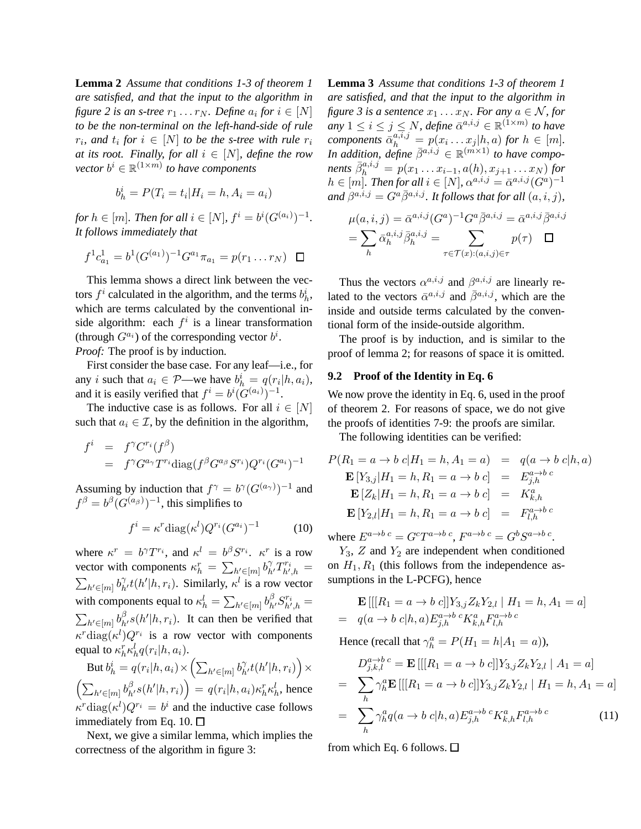**Lemma 2** *Assume that conditions 1-3 of theorem 1 are satisfied, and that the input to the algorithm in figure* 2 *is an s-tree*  $r_1 \dots r_N$ *. Define*  $a_i$  *for*  $i \in [N]$ *to be the non-terminal on the left-hand-side of rule*  $r_i$ , and  $t_i$  for  $i \in [N]$  to be the s-tree with rule  $r_i$ *at its root. Finally, for all*  $i \in [N]$ *, define the row vector*  $b^i \in \mathbb{R}^{(1 \times m)}$  *to have components* 

$$
b_h^i = P(T_i = t_i | H_i = h, A_i = a_i)
$$

*for*  $h \in [m]$ *. Then for all*  $i \in [N]$ *,*  $f^{i} = b^{i}(G^{(a_i)})^{-1}$ *. It follows immediately that*

$$
f^{1}c_{a_1}^{1} = b^{1}(G^{(a_1)})^{-1}G^{a_1}\pi_{a_1} = p(r_1 \ldots r_N) \quad \Box
$$

This lemma shows a direct link between the vectors  $f^i$  calculated in the algorithm, and the terms  $b^i_h$ , which are terms calculated by the conventional inside algorithm: each  $f^i$  is a linear transformation (through  $G^{a_i}$ ) of the corresponding vector  $b^i$ . *Proof:* The proof is by induction.

First consider the base case. For any leaf—i.e., for

any *i* such that  $a_i \in \mathcal{P}$ —we have  $b_h^i = q(r_i | h, a_i)$ , and it is easily verified that  $f^i = b^i (G^{(a_i)})^{-1}$ .

The inductive case is as follows. For all  $i \in [N]$ such that  $a_i \in \mathcal{I}$ , by the definition in the algorithm,

$$
f^{i} = f^{\gamma} C^{r_i}(f^{\beta})
$$
  
=  $f^{\gamma} G^{a_{\gamma}} T^{r_i} \text{diag}(f^{\beta} G^{a_{\beta}} S^{r_i}) Q^{r_i} (G^{a_i})^{-1}$ 

Assuming by induction that  $f^{\gamma} = b^{\gamma} (G^{(a_{\gamma})})^{-1}$  and  $f^{\beta} = b^{\beta} (G^{(a_{\beta})})^{-1}$ , this simplifies to

$$
f^{i} = \kappa^{r} \text{diag}(\kappa^{l}) Q^{r_i} (G^{a_i})^{-1} \tag{10}
$$

where  $\kappa^r = b^{\gamma} T^{r_i}$ , and  $\kappa^l = b^{\beta} S^{r_i}$ .  $\kappa^r$  is a row vector with components  $\kappa_h^r = \sum_{h' \in [m]} b_{h'}^{\gamma} T_{h',h}^{r_i} =$  $\sum_{h' \in [m]} b_{h'}^{\gamma} t(h'|h, r_i)$ . Similarly,  $\kappa^l$  is a row vector with components equal to  $\kappa_h^l = \sum_{h' \in [m]} b_{h'}^{\beta} S_{h',h}^{r_i} =$  $\sum_{h' \in [m]} b_{h'}^{\beta} s(h'|h, r_i)$ . It can then be verified that  $\kappa^r \text{diag}(\kappa^l) Q^{r_i}$  is a row vector with components equal to  $\kappa_h^r \kappa_h^l q(r_i|h, a_i)$ .

 $\operatorname{But} b_h^i = q(r_i | h, a_i) \!\times\! \left( \sum_{h' \in [m]} b_{h'}^{\gamma} t(h' | h, r_i) \right) \!\times\!$  $\left(\sum_{h' \in [m]} b_{h'}^{\beta} s(h'|h, r_i)\right) = q(r_i|h, a_i) \kappa_h^r \kappa_h^l$ , hence  $\kappa^r$ diag $(\kappa^l)Q^{r_i} = b^i$  and the inductive case follows immediately from Eq. 10.  $\Box$ 

Next, we give a similar lemma, which implies the correctness of the algorithm in figure 3:

**Lemma 3** *Assume that conditions 1-3 of theorem 1 are satisfied, and that the input to the algorithm in figure 3 is a sentence*  $x_1 \dots x_N$ *. For any*  $a \in \mathcal{N}$ *, for*  $a_n$   $1 \leq i \leq j \leq N$ , define  $\bar{\alpha}^{a,i,j} \in \mathbb{R}^{(1 \times m)}$  to have *components*  $\bar{\alpha}_h^{a,i,j} = p(x_i \dots x_j | h, a)$  *for*  $h \in [m]$ *. In addition, define*  $\bar{\beta}^{a,i,j} \in \mathbb{R}^{(m \times 1)}$  *to have components*  $\bar{\beta}_h^{a,i,j} = p(x_1 \ldots x_{i-1}, a(h), x_{j+1} \ldots x_N)$  *for*  $h \in [m]$ . Then for all  $i \in [N]$ ,  $\alpha^{a,i,j} = \bar{\alpha}^{a,i,j} (G^a)^{-1}$ and  $\beta^{a,i,j} = G^a \bar{\beta}^{a,i,j}$ *. It follows that for all*  $(a,i,j)$ *,* 

$$
\mu(a,i,j) = \bar{\alpha}^{a,i,j} (G^a)^{-1} G^a \bar{\beta}^{a,i,j} = \bar{\alpha}^{a,i,j} \bar{\beta}^{a,i,j}
$$

$$
= \sum_h \bar{\alpha}_h^{a,i,j} \bar{\beta}_h^{a,i,j} = \sum_{\tau \in \mathcal{T}(x):(a,i,j) \in \tau} p(\tau) \quad \Box
$$

Thus the vectors  $\alpha^{a,i,j}$  and  $\beta^{a,i,j}$  are linearly related to the vectors  $\bar{\alpha}^{a,i,j}$  and  $\bar{\beta}^{a,i,j}$ , which are the inside and outside terms calculated by the conventional form of the inside-outside algorithm.

The proof is by induction, and is similar to the proof of lemma 2; for reasons of space it is omitted.

#### **9.2 Proof of the Identity in Eq. 6**

We now prove the identity in Eq. 6, used in the proof of theorem 2. For reasons of space, we do not give the proofs of identities 7-9: the proofs are similar.

The following identities can be verified:

$$
P(R_1 = a \to b \ c | H_1 = h, A_1 = a) = q(a \to b \ c | h, a)
$$
  
\n
$$
\mathbf{E}[Y_{3,j} | H_1 = h, R_1 = a \to b \ c] = E_{j,h}^{a \to b \ c}
$$
  
\n
$$
\mathbf{E}[Z_k | H_1 = h, R_1 = a \to b \ c] = K_{k,h}^a
$$
  
\n
$$
\mathbf{E}[Y_{2,l} | H_1 = h, R_1 = a \to b \ c] = F_{l,h}^{a \to b \ c}
$$

where  $E^{a\rightarrow b\ c} = G^c T^{a\rightarrow b\ c}$ ,  $F^{a\rightarrow b\ c} = G^b S^{a\rightarrow b\ c}$ .

 $Y_3$ , Z and  $Y_2$  are independent when conditioned on  $H_1, R_1$  (this follows from the independence assumptions in the L-PCFG), hence

$$
\mathbf{E}\left[\left[[R_1 = a \to b \ c]\right]Y_{3,j} Z_k Y_{2,l} \mid H_1 = h, A_1 = a\right]
$$
  
=  $q(a \to b \ c|h, a) E_{j,h}^{a \to b \ c} K_{k,h}^a F_{l,h}^{a \to b \ c}$ 

Hence (recall that  $\gamma_h^a = P(H_1 = h | A_1 = a)$ ),

$$
D_{j,k,l}^{a \to b \ c} = \mathbf{E}\left[\left[[R_1 = a \to b \ c]\right]Y_{3,j}Z_kY_{2,l} \mid A_1 = a\right]
$$
  
= 
$$
\sum_{h} \gamma_h^a \mathbf{E}\left[\left[[R_1 = a \to b \ c]\right]Y_{3,j}Z_kY_{2,l} \mid H_1 = h, A_1 = a\right]
$$
  
= 
$$
\sum_{h} \gamma_h^a q(a \to b \ c|h, a) E_{j,h}^{a \to b \ c} K_{k,h}^a F_{l,h}^{a \to b \ c}
$$
 (11)

from which Eq. 6 follows.  $\Box$